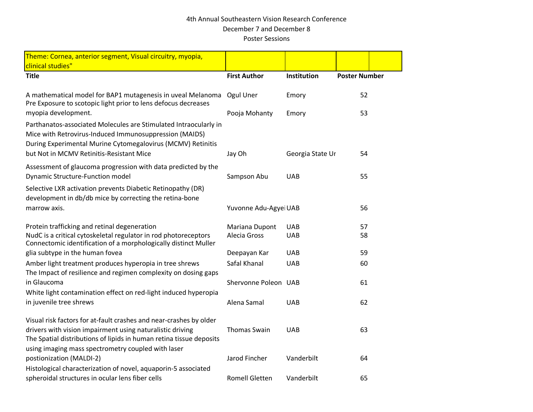## 4th Annual Southeastern Vision Research Conference December 7 and December 8 Poster Sessions

| Theme: Cornea, anterior segment, Visual circuitry, myopia,                                                                                                                                                                                                   |                       |                  |                      |  |
|--------------------------------------------------------------------------------------------------------------------------------------------------------------------------------------------------------------------------------------------------------------|-----------------------|------------------|----------------------|--|
| clinical studies"                                                                                                                                                                                                                                            |                       |                  |                      |  |
| <b>Title</b>                                                                                                                                                                                                                                                 | <b>First Author</b>   | Institution      | <b>Poster Number</b> |  |
| A mathematical model for BAP1 mutagenesis in uveal Melanoma<br>Pre Exposure to scotopic light prior to lens defocus decreases                                                                                                                                | Ogul Uner             | Emory            | 52                   |  |
| myopia development.                                                                                                                                                                                                                                          | Pooja Mohanty         | Emory            | 53                   |  |
| Parthanatos-associated Molecules are Stimulated Intraocularly in<br>Mice with Retrovirus-Induced Immunosuppression (MAIDS)<br>During Experimental Murine Cytomegalovirus (MCMV) Retinitis<br>but Not in MCMV Retinitis-Resistant Mice                        | Jay Oh                |                  | 54                   |  |
|                                                                                                                                                                                                                                                              |                       | Georgia State Ur |                      |  |
| Assessment of glaucoma progression with data predicted by the<br><b>Dynamic Structure-Function model</b>                                                                                                                                                     | Sampson Abu           | <b>UAB</b>       | 55                   |  |
| Selective LXR activation prevents Diabetic Retinopathy (DR)<br>development in db/db mice by correcting the retina-bone<br>marrow axis.                                                                                                                       | Yuvonne Adu-Agyei UAB |                  | 56                   |  |
| Protein trafficking and retinal degeneration                                                                                                                                                                                                                 | Mariana Dupont        | <b>UAB</b>       | 57                   |  |
| NudC is a critical cytoskeletal regulator in rod photoreceptors<br>Connectomic identification of a morphologically distinct Muller                                                                                                                           | Alecia Gross          | <b>UAB</b>       | 58                   |  |
| glia subtype in the human fovea                                                                                                                                                                                                                              | Deepayan Kar          | <b>UAB</b>       | 59                   |  |
| Amber light treatment produces hyperopia in tree shrews<br>The Impact of resilience and regimen complexity on dosing gaps                                                                                                                                    | Safal Khanal          | <b>UAB</b>       | 60                   |  |
| in Glaucoma                                                                                                                                                                                                                                                  | Shervonne Poleon UAB  |                  | 61                   |  |
| White light contamination effect on red-light induced hyperopia<br>in juvenile tree shrews                                                                                                                                                                   | Alena Samal           | <b>UAB</b>       | 62                   |  |
| Visual risk factors for at-fault crashes and near-crashes by older<br>drivers with vision impairment using naturalistic driving<br>The Spatial distributions of lipids in human retina tissue deposits<br>using imaging mass spectrometry coupled with laser | <b>Thomas Swain</b>   | <b>UAB</b>       | 63                   |  |
| postionization (MALDI-2)                                                                                                                                                                                                                                     | Jarod Fincher         | Vanderbilt       | 64                   |  |
| Histological characterization of novel, aquaporin-5 associated<br>spheroidal structures in ocular lens fiber cells                                                                                                                                           | <b>Romell Gletten</b> | Vanderbilt       | 65                   |  |